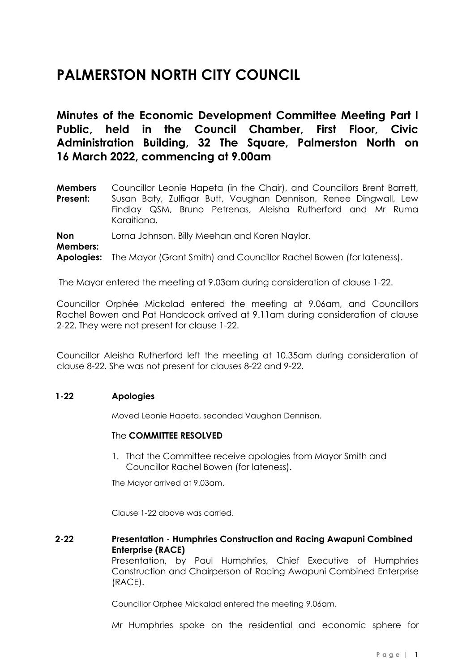# **PALMERSTON NORTH CITY COUNCIL**

**Minutes of the Economic Development Committee Meeting Part I Public, held in the Council Chamber, First Floor, Civic Administration Building, 32 The Square, Palmerston North on 16 March 2022, commencing at 9.00am**

| <b>Members</b> | Councillor Leonie Hapeta (in the Chair), and Councillors Brent Barrett,                                                                        |
|----------------|------------------------------------------------------------------------------------------------------------------------------------------------|
| Present:       | Susan Baty, Zulfigar Butt, Vaughan Dennison, Renee Dingwall, Lew<br>Findlay QSM, Bruno Petrenas, Aleisha Rutherford and Mr Ruma<br>Karaitiana. |
|                |                                                                                                                                                |

**Non Members:** Lorna Johnson, Billy Meehan and Karen Naylor. **Apologies:** The Mayor (Grant Smith) and Councillor Rachel Bowen (for lateness).

The Mayor entered the meeting at 9.03am during consideration of clause 1-22.

Councillor Orphée Mickalad entered the meeting at 9.06am, and Councillors Rachel Bowen and Pat Handcock arrived at 9.11am during consideration of clause 2-22. They were not present for clause 1-22.

Councillor Aleisha Rutherford left the meeting at 10.35am during consideration of clause 8-22. She was not present for clauses 8-22 and 9-22.

#### **1-22 Apologies**

Moved Leonie Hapeta, seconded Vaughan Dennison.

#### The **COMMITTEE RESOLVED**

1. That the Committee receive apologies from Mayor Smith and Councillor Rachel Bowen (for lateness).

The Mayor arrived at 9.03am.

Clause 1-22 above was carried.

**2-22 Presentation - Humphries Construction and Racing Awapuni Combined Enterprise (RACE)**

> Presentation, by Paul Humphries, Chief Executive of Humphries Construction and Chairperson of Racing Awapuni Combined Enterprise (RACE).

Councillor Orphee Mickalad entered the meeting 9.06am.

Mr Humphries spoke on the residential and economic sphere for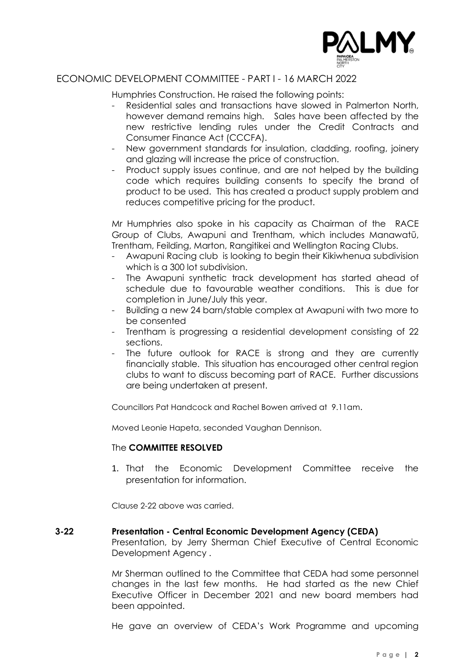

Humphries Construction. He raised the following points:

- Residential sales and transactions have slowed in Palmerton North, however demand remains high. Sales have been affected by the new restrictive lending rules under the Credit Contracts and Consumer Finance Act (CCCFA).
- New government standards for insulation, cladding, roofing, joinery and glazing will increase the price of construction.
- Product supply issues continue, and are not helped by the building code which requires building consents to specify the brand of product to be used. This has created a product supply problem and reduces competitive pricing for the product.

Mr Humphries also spoke in his capacity as Chairman of the RACE Group of Clubs, Awapuni and Trentham, which includes Manawatū, Trentham, Feilding, Marton, Rangitikei and Wellington Racing Clubs.

- Awapuni Racing club is looking to begin their Kikiwhenua subdivision which is a 300 lot subdivision.
- The Awapuni synthetic track development has started ahead of schedule due to favourable weather conditions. This is due for completion in June/July this year.
- Building a new 24 barn/stable complex at Awapuni with two more to be consented
- Trentham is progressing a residential development consisting of 22 sections.
- The future outlook for RACE is strong and they are currently financially stable. This situation has encouraged other central region clubs to want to discuss becoming part of RACE. Further discussions are being undertaken at present.

Councillors Pat Handcock and Rachel Bowen arrived at 9.11am.

Moved Leonie Hapeta, seconded Vaughan Dennison.

#### The **COMMITTEE RESOLVED**

1. That the Economic Development Committee receive the presentation for information.

Clause 2-22 above was carried.

#### **3-22 Presentation - Central Economic Development Agency (CEDA)**

Presentation, by Jerry Sherman Chief Executive of Central Economic Development Agency .

Mr Sherman outlined to the Committee that CEDA had some personnel changes in the last few months. He had started as the new Chief Executive Officer in December 2021 and new board members had been appointed.

He gave an overview of CEDA's Work Programme and upcoming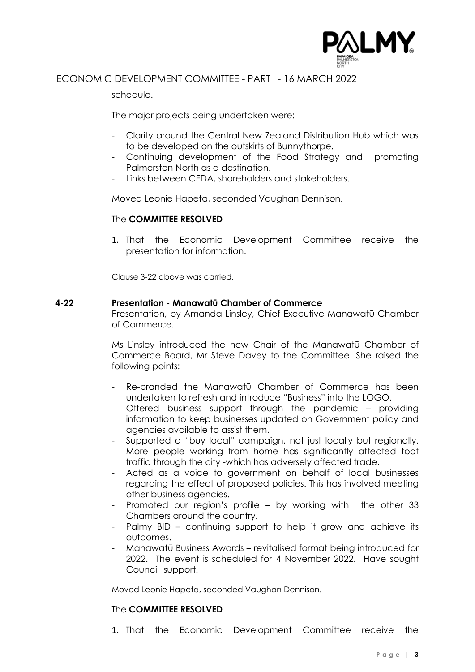

schedule.

The major projects being undertaken were:

- Clarity around the Central New Zealand Distribution Hub which was to be developed on the outskirts of Bunnythorpe.
- Continuing development of the Food Strategy and promoting Palmerston North as a destination.
- Links between CEDA, shareholders and stakeholders.

Moved Leonie Hapeta, seconded Vaughan Dennison.

#### The **COMMITTEE RESOLVED**

1. That the Economic Development Committee receive the presentation for information.

Clause 3-22 above was carried.

#### **4-22 Presentation - Manawatū Chamber of Commerce**

Presentation, by Amanda Linsley, Chief Executive Manawatū Chamber of Commerce.

Ms Linsley introduced the new Chair of the Manawatū Chamber of Commerce Board, Mr Steve Davey to the Committee. She raised the following points:

- Re-branded the Manawatū Chamber of Commerce has been undertaken to refresh and introduce "Business" into the LOGO.
- Offered business support through the pandemic providing information to keep businesses updated on Government policy and agencies available to assist them.
- Supported a "buy local" campaign, not just locally but regionally. More people working from home has significantly affected foot traffic through the city -which has adversely affected trade.
- Acted as a voice to government on behalf of local businesses regarding the effect of proposed policies. This has involved meeting other business agencies.
- Promoted our region's profile by working with the other 33 Chambers around the country.
- Palmy BID continuing support to help it grow and achieve its outcomes.
- Manawatū Business Awards revitalised format being introduced for 2022. The event is scheduled for 4 November 2022. Have sought Council support.

Moved Leonie Hapeta, seconded Vaughan Dennison.

#### The **COMMITTEE RESOLVED**

1. That the Economic Development Committee receive the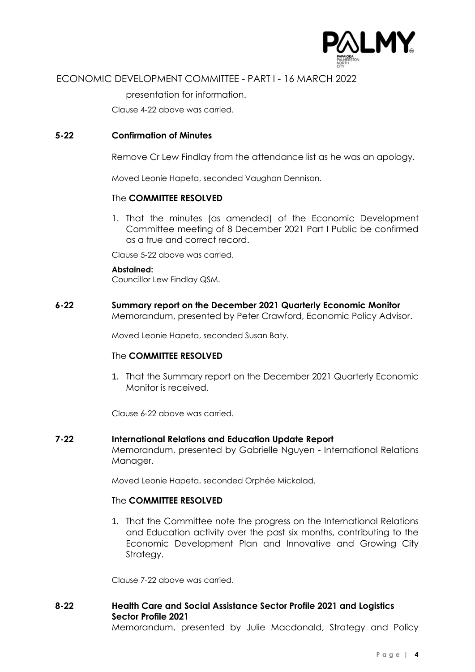

presentation for information.

Clause 4-22 above was carried.

#### **5-22 Confirmation of Minutes**

Remove Cr Lew Findlay from the attendance list as he was an apology.

Moved Leonie Hapeta, seconded Vaughan Dennison.

#### The **COMMITTEE RESOLVED**

1. That the minutes (as amended) of the Economic Development Committee meeting of 8 December 2021 Part I Public be confirmed as a true and correct record.

Clause 5-22 above was carried.

#### **Abstained:**

Councillor Lew Findlay QSM.

**6-22 Summary report on the December 2021 Quarterly Economic Monitor** Memorandum, presented by Peter Crawford, Economic Policy Advisor.

Moved Leonie Hapeta, seconded Susan Baty.

#### The **COMMITTEE RESOLVED**

1. That the Summary report on the December 2021 Quarterly Economic Monitor is received.

Clause 6-22 above was carried.

#### **7-22 International Relations and Education Update Report**

Memorandum, presented by Gabrielle Nguyen - International Relations Manager.

Moved Leonie Hapeta, seconded Orphée Mickalad.

#### The **COMMITTEE RESOLVED**

1. That the Committee note the progress on the International Relations and Education activity over the past six months, contributing to the Economic Development Plan and Innovative and Growing City Strategy.

Clause 7-22 above was carried.

# **8-22 Health Care and Social Assistance Sector Profile 2021 and Logistics Sector Profile 2021**

Memorandum, presented by Julie Macdonald, Strategy and Policy